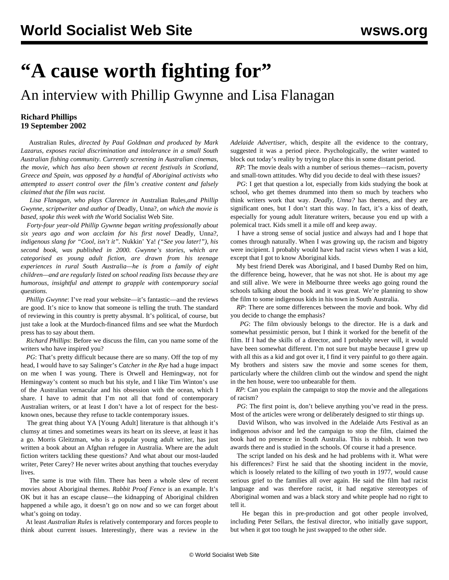## **"A cause worth fighting for"**

## An interview with Phillip Gwynne and Lisa Flanagan

## **Richard Phillips 19 September 2002**

 Australian Rules*, directed by Paul Goldman and produced by Mark Lazarus, exposes racial discrimination and intolerance in a small South Australian fishing community. Currently screening in Australian cinemas, the movie, which has also been shown at recent festivals in Scotland, Greece and Spain, was opposed by a handful of Aboriginal activists who attempted to assert control over the film's creative content and falsely claimed that the film was racist.*

 *Lisa Flanagan, who plays Clarence in* Australian Rules,*and Phillip Gwynne, scriptwriter and author of* Deadly, Unna?, *on which the movie is based, spoke this week with the* World Socialist Web Site*.*

 *Forty-four year-old Phillip Gywnne began writing professionally about six years ago and won acclaim for his first novel* Deadly, Unna?*, indigenous slang for "Cool, isn't it".* Nukkin' Ya! *("See you later!"), his second book, was published in 2000. Gwynne's stories, which are categorised as young adult fiction, are drawn from his teenage experiences in rural South Australia—he is from a family of eight children—and are regularly listed on school reading lists because they are humorous, insightful and attempt to grapple with contemporary social questions.*

*Phillip Gwynne*: I've read your website—it's fantastic—and the reviews are good. It's nice to know that someone is telling the truth. The standard of reviewing in this country is pretty abysmal. It's political, of course, but just take a look at the Murdoch-financed films and see what the Murdoch press has to say about them.

 *Richard Phillips*: Before we discuss the film, can you name some of the writers who have inspired you?

*PG*: That's pretty difficult because there are so many. Off the top of my head, I would have to say Salinger's *Catcher in the Rye* had a huge impact on me when I was young. There is Orwell and Hemingway, not for Hemingway's content so much but his style, and I like Tim Winton's use of the Australian vernacular and his obsession with the ocean, which I share. I have to admit that I'm not all that fond of contemporary Australian writers, or at least I don't have a lot of respect for the bestknown ones, because they refuse to tackle contemporary issues.

 The great thing about YA [Young Adult] literature is that although it's clumsy at times and sometimes wears its heart on its sleeve, at least it has a go. Morris Gleitzman, who is a popular young adult writer, has just written a book about an Afghan refugee in Australia. Where are the adult fiction writers tackling these questions? And what about our most-lauded writer, Peter Carey? He never writes about anything that touches everyday lives.

 The same is true with film. There has been a whole slew of recent movies about Aboriginal themes. *Rabbit Proof Fence* is an example. It's OK but it has an escape clause—the kidnapping of Aboriginal children happened a while ago, it doesn't go on now and so we can forget about what's going on today.

 At least *Australian Rules* is relatively contemporary and forces people to think about current issues. Interestingly, there was a review in the

*Adelaide Advertiser*, which, despite all the evidence to the contrary, suggested it was a period piece. Psychologically, the writer wanted to block out today's reality by trying to place this in some distant period.

 *RP*: The movie deals with a number of serious themes—racism, poverty and small-town attitudes. Why did you decide to deal with these issues?

*PG*: I get that question a lot, especially from kids studying the book at school, who get themes drummed into them so much by teachers who think writers work that way. *Deadly, Unna?* has themes, and they are significant ones, but I don't start this way. In fact, it's a kiss of death, especially for young adult literature writers, because you end up with a polemical tract. Kids smell it a mile off and keep away.

 I have a strong sense of social justice and always had and I hope that comes through naturally. When I was growing up, the racism and bigotry were incipient. I probably would have had racist views when I was a kid, except that I got to know Aboriginal kids.

 My best friend Derek was Aboriginal, and I based Dumby Red on him, the difference being, however, that he was not shot. He is about my age and still alive. We were in Melbourne three weeks ago going round the schools talking about the book and it was great. We're planning to show the film to some indigenous kids in his town in South Australia.

 *RP*: There are some differences between the movie and book. Why did you decide to change the emphasis?

 *PG*: The film obviously belongs to the director. He is a dark and somewhat pessimistic person, but I think it worked for the benefit of the film. If I had the skills of a director, and I probably never will, it would have been somewhat different. I'm not sure but maybe because I grew up with all this as a kid and got over it, I find it very painful to go there again. My brothers and sisters saw the movie and some scenes for them, particularly where the children climb out the window and spend the night in the hen house, were too unbearable for them.

 *RP*: Can you explain the campaign to stop the movie and the allegations of racism?

*PG*: The first point is, don't believe anything you've read in the press. Most of the articles were wrong or deliberately designed to stir things up.

 David Wilson, who was involved in the Adelaide Arts Festival as an indigenous advisor and led the campaign to stop the film, claimed the book had no presence in South Australia. This is rubbish. It won two awards there and is studied in the schools. Of course it had a presence.

 The script landed on his desk and he had problems with it. What were his differences? First he said that the shooting incident in the movie, which is loosely related to the killing of two youth in 1977, would cause serious grief to the families all over again. He said the film had racist language and was therefore racist, it had negative stereotypes of Aboriginal women and was a black story and white people had no right to tell it.

 He began this in pre-production and got other people involved, including Peter Sellars, the festival director, who initially gave support, but when it got too tough he just swapped to the other side.